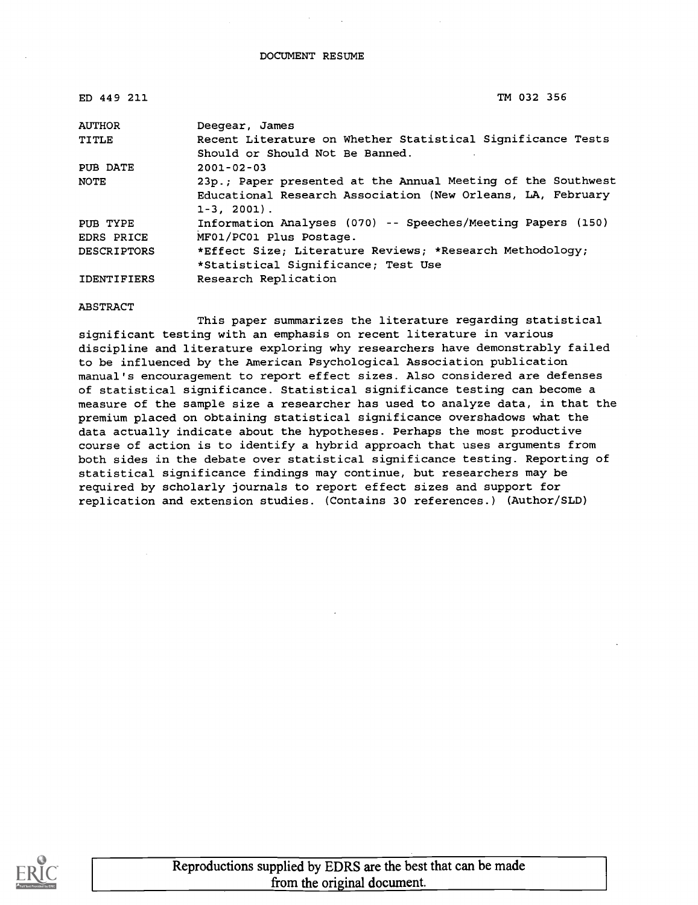| ED 449 211         | TM 032 356                                                   |
|--------------------|--------------------------------------------------------------|
| <b>AUTHOR</b>      | Deegear, James                                               |
| <b>TITLE</b>       | Recent Literature on Whether Statistical Significance Tests  |
|                    | Should or Should Not Be Banned.                              |
| PUB DATE           | $2001 - 02 - 03$                                             |
| NOTE               | 23p.; Paper presented at the Annual Meeting of the Southwest |
|                    | Educational Research Association (New Orleans, LA, February  |
|                    | $1-3, 2001$ .                                                |
| PUB TYPE           | Information Analyses (070) -- Speeches/Meeting Papers (150)  |
| EDRS PRICE         | MF01/PC01 Plus Postage.                                      |
| <b>DESCRIPTORS</b> | *Effect Size; Literature Reviews; *Research Methodology;     |
|                    | *Statistical Significance; Test Use                          |
| <b>IDENTIFIERS</b> | Research Replication                                         |

#### ABSTRACT

This paper summarizes the literature regarding statistical significant testing with an emphasis on recent literature in various discipline and literature exploring why researchers have demonstrably failed to be influenced by the American Psychological Association publication manual's encouragement to report effect sizes. Also considered are defenses of statistical significance. Statistical significance testing can become a measure of the sample size a researcher has used to analyze data, in that the premium placed on obtaining statistical significance overshadows what the data actually indicate about the hypotheses. Perhaps the most productive course of action is to identify a hybrid approach that uses arguments from both sides in the debate over statistical significance testing. Reporting of statistical significance findings may continue, but researchers may be required by scholarly journals to report effect sizes and support for replication and extension studies. (Contains 30 references.) (Author/SLD)

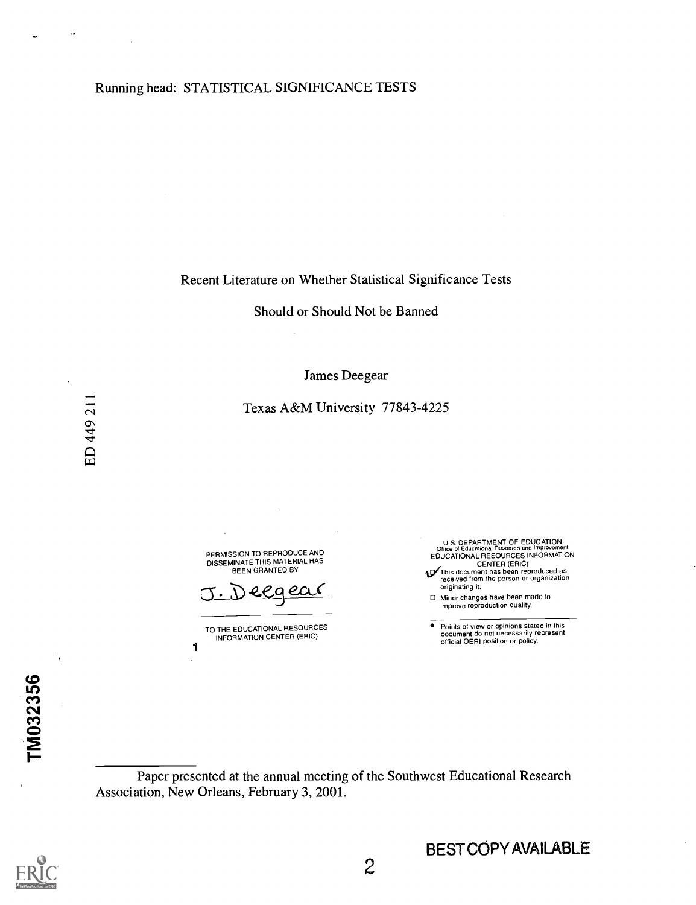Recent Literature on Whether Statistical Significance Tests

Should or Should Not be Banned

James Deegear

Texas A&M University 77843-4225

PERMISSION TO REPRODUCE AND DISSEMINATE THIS MATERIAL HAS BEEN GRANTED BY

ecaea

TO THE EDUCATIONAL RESOURCES INFORMATION CENTER (ERIC)

1

U.S. DEPARTMENT OF EDUCATION Office of Educational Research and Improvement EDUCATIONAL RESOURCES INFORMATION

CENTER (ERIC)<br>This document has been reproduced as<br>received from the person or organization originating it.

Minor changes have been made to improve reproduction quality.

 $\bar{\bullet}$ Points of view or opinions stated in this document do not necessarily represent official OERI position or policy.

Paper presented at the annual meeting of the Southwest Educational Research Association, New Orleans, February 3, 2001.



TM032356

٦

BEST COPY AVAILABLE

k,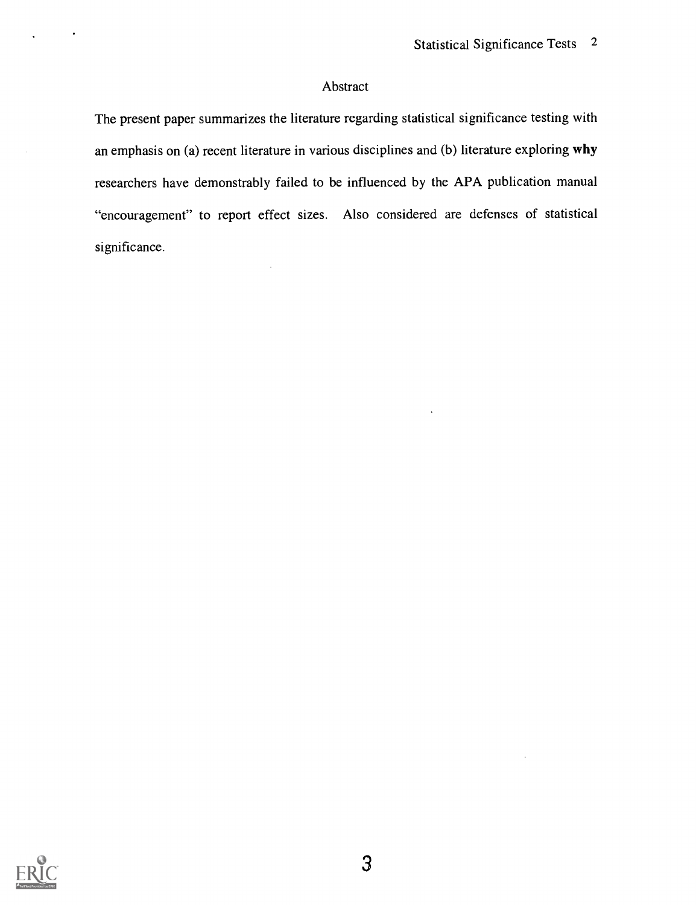### Abstract

The present paper summarizes the literature regarding statistical significance testing with an emphasis on (a) recent literature in various disciplines and (b) literature exploring why researchers have demonstrably failed to be influenced by the APA publication manual "encouragement" to report effect sizes. Also considered are defenses of statistical significance.

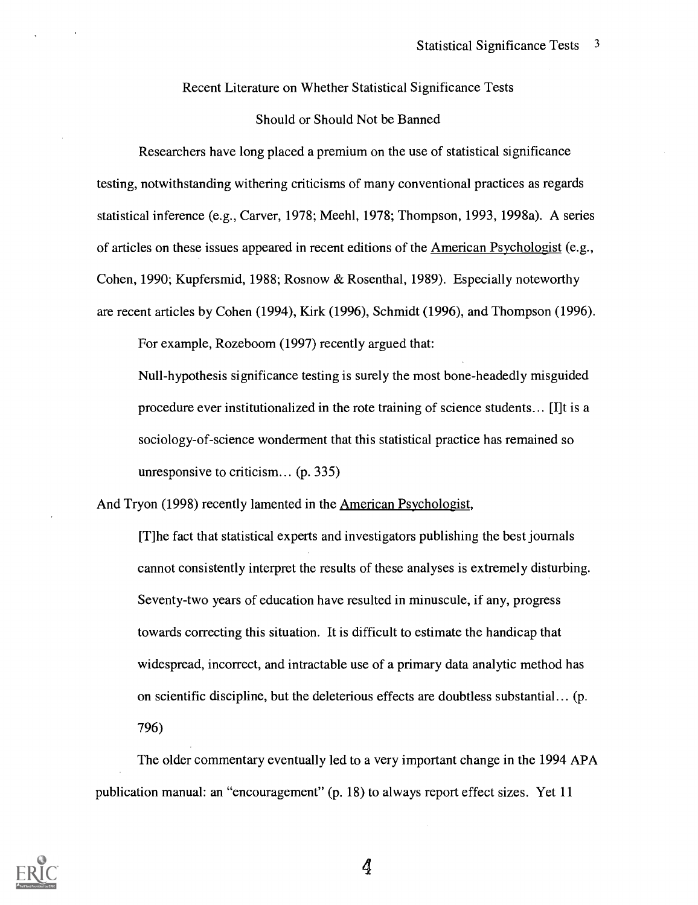Recent Literature on Whether Statistical Significance Tests

#### Should or Should Not be Banned

Researchers have long placed a premium on the use of statistical significance testing, notwithstanding withering criticisms of many conventional practices as regards statistical inference (e.g., Carver, 1978; Meehl, 1978; Thompson, 1993, 1998a). A series of articles on these issues appeared in recent editions of the American Psychologist (e.g., Cohen, 1990; Kupfersmid, 1988; Rosnow & Rosenthal, 1989). Especially noteworthy are recent articles by Cohen (1994), Kirk (1996), Schmidt (1996), and Thompson (1996).

For example, Rozeboom (1997) recently argued that:

Null-hypothesis significance testing is surely the most bone-headedly misguided procedure ever institutionalized in the rote training of science students... [I]t is a sociology-of-science wonderment that this statistical practice has remained so unresponsive to criticism... (p. 335)

And Tryon (1998) recently lamented in the American Psychologist,

[T]he fact that statistical experts and investigators publishing the best journals cannot consistently interpret the results of these analyses is extremely disturbing. Seventy-two years of education have resulted in minuscule, if any, progress towards correcting this situation. It is difficult to estimate the handicap that widespread, incorrect, and intractable use of a primary data analytic method has on scientific discipline, but the deleterious effects are doubtless substantial... (p. 796)

The older commentary eventually led to a very important change in the 1994 APA publication manual: an "encouragement" (p. 18) to always report effect sizes. Yet 11

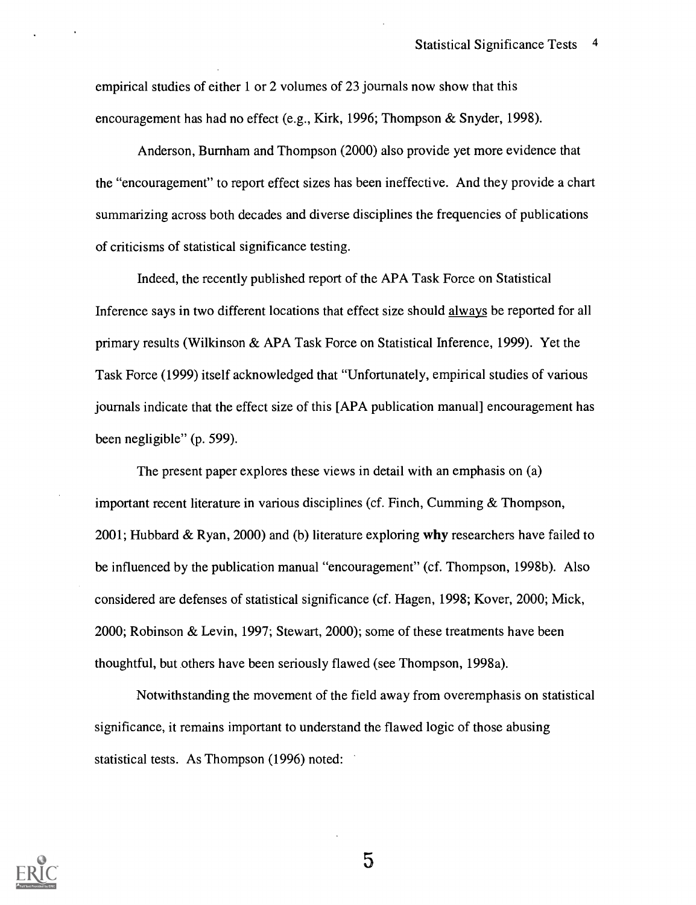empirical studies of either 1 or 2 volumes of 23 journals now show that this encouragement has had no effect (e.g., Kirk, 1996; Thompson & Snyder, 1998).

Anderson, Burnham and Thompson (2000) also provide yet more evidence that the "encouragement" to report effect sizes has been ineffective. And they provide a chart summarizing across both decades and diverse disciplines the frequencies of publications of criticisms of statistical significance testing.

Indeed, the recently published report of the APA Task Force on Statistical Inference says in two different locations that effect size should always be reported for all primary results (Wilkinson & APA Task Force on Statistical Inference, 1999). Yet the Task Force (1999) itself acknowledged that "Unfortunately, empirical studies of various journals indicate that the effect size of this [APA publication manual] encouragement has been negligible" (p. 599).

The present paper explores these views in detail with an emphasis on (a) important recent literature in various disciplines (cf. Finch, Cumming & Thompson, 2001; Hubbard & Ryan, 2000) and (b) literature exploring why researchers have failed to be influenced by the publication manual "encouragement" (cf. Thompson, 1998b). Also considered are defenses of statistical significance (cf. Hagen, 1998; Kover, 2000; Mick, 2000; Robinson & Levin, 1997; Stewart, 2000); some of these treatments have been thoughtful, but others have been seriously flawed (see Thompson, 1998a).

Notwithstanding the movement of the field away from overemphasis on statistical significance, it remains important to understand the flawed logic of those abusing statistical tests. As Thompson (1996) noted:

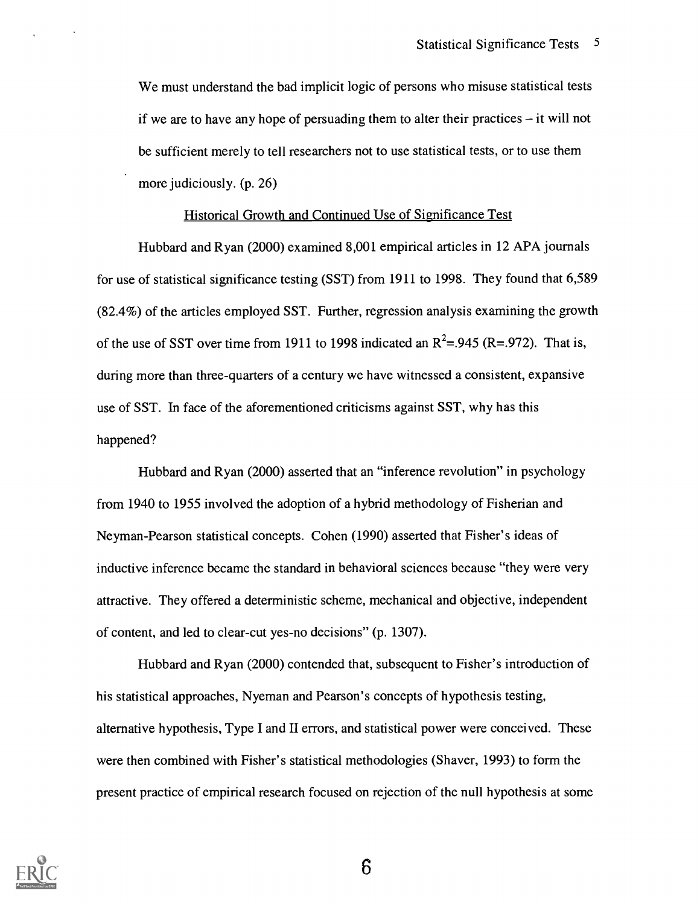We must understand the bad implicit logic of persons who misuse statistical tests if we are to have any hope of persuading them to alter their practices  $-$  it will not be sufficient merely to tell researchers not to use statistical tests, or to use them more judiciously. (p. 26)

#### Historical Growth and Continued Use of Significance Test

Hubbard and Ryan (2000) examined 8,001 empirical articles in 12 APA journals for use of statistical significance testing (SST) from 1911 to 1998. They found that 6,589 (82.4%) of the articles employed SST. Further, regression analysis examining the growth of the use of SST over time from 1911 to 1998 indicated an  $R^2$ =.945 (R=.972). That is, during more than three-quarters of a century we have witnessed a consistent, expansive use of SST. In face of the aforementioned criticisms against SST, why has this happened?

Hubbard and Ryan (2000) asserted that an "inference revolution" in psychology from 1940 to 1955 involved the adoption of a hybrid methodology of Fisherian and Neyman-Pearson statistical concepts. Cohen (1990) asserted that Fisher's ideas of inductive inference became the standard in behavioral sciences because "they were very attractive. They offered a deterministic scheme, mechanical and objective, independent of content, and led to clear-cut yes-no decisions" (p. 1307).

Hubbard and Ryan (2000) contended that, subsequent to Fisher's introduction of his statistical approaches, Nyeman and Pearson's concepts of hypothesis testing, alternative hypothesis, Type I and II errors, and statistical power were conceived. These were then combined with Fisher's statistical methodologies (Shaver, 1993) to form the present practice of empirical research focused on rejection of the null hypothesis at some

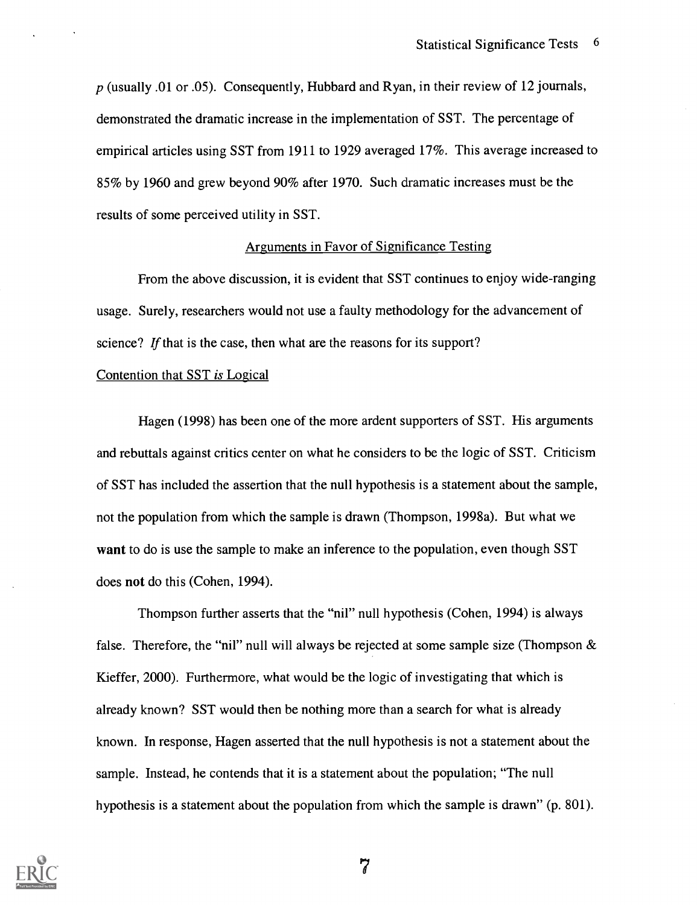$p$  (usually .01 or .05). Consequently, Hubbard and Ryan, in their review of 12 journals, demonstrated the dramatic increase in the implementation of SST. The percentage of empirical articles using SST from 1911 to 1929 averaged 17%. This average increased to 85% by 1960 and grew beyond 90% after 1970. Such dramatic increases must be the results of some perceived utility in SST.

#### Arguments in Favor of Significance Testing

From the above discussion, it is evident that SST continues to enjoy wide-ranging usage. Surely, researchers would not use a faulty methodology for the advancement of science? If that is the case, then what are the reasons for its support?

#### Contention that SST is Logical

Hagen (1998) has been one of the more ardent supporters of SST. His arguments and rebuttals against critics center on what he considers to be the logic of SST. Criticism of SST has included the assertion that the null hypothesis is a statement about the sample, not the population from which the sample is drawn (Thompson, 1998a). But what we want to do is use the sample to make an inference to the population, even though SST does not do this (Cohen, 1994).

Thompson further asserts that the "nil" null hypothesis (Cohen, 1994) is always false. Therefore, the "nil" null will always be rejected at some sample size (Thompson & Kieffer, 2000). Furthermore, what would be the logic of investigating that which is already known? SST would then be nothing more than a search for what is already known. In response, Hagen asserted that the null hypothesis is not a statement about the sample. Instead, he contends that it is a statement about the population; "The null hypothesis is a statement about the population from which the sample is drawn" (p. 801).

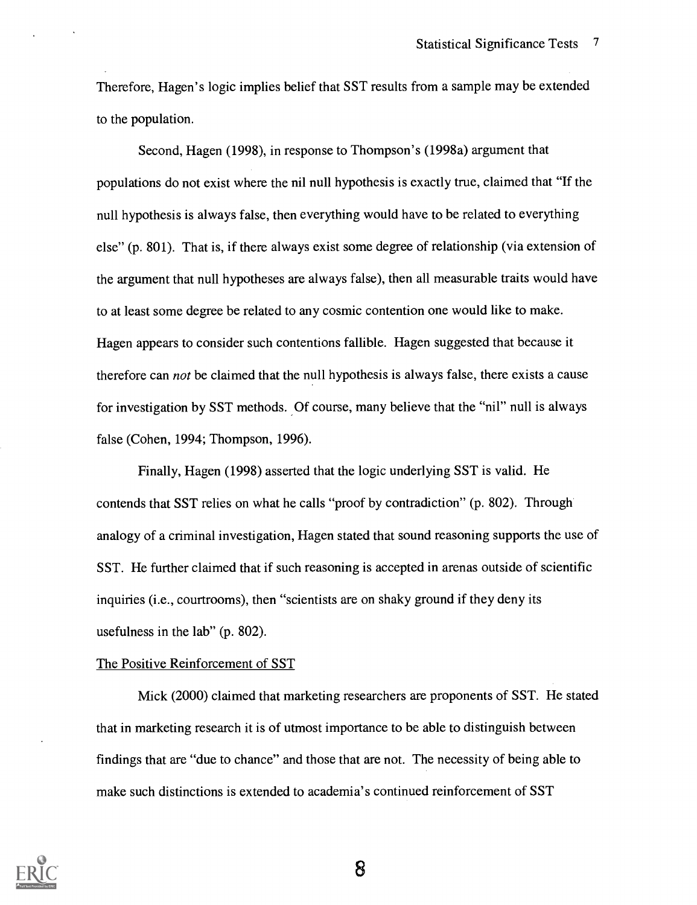Therefore, Hagen's logic implies belief that SST results from a sample may be extended to the population.

Second, Hagen (1998), in response to Thompson's (1998a) argument that populations do not exist where the nil null hypothesis is exactly true, claimed that "If the null hypothesis is always false, then everything would have to be related to everything else" (p. 801). That is, if there always exist some degree of relationship (via extension of the argument that null hypotheses are always false), then all measurable traits would have to at least some degree be related to any cosmic contention one would like to make. Hagen appears to consider such contentions fallible. Hagen suggested that because it therefore can not be claimed that the null hypothesis is always false, there exists a cause for investigation by SST methods. Of course, many believe that the "nil" null is always false (Cohen, 1994; Thompson, 1996).

Finally, Hagen (1998) asserted that the logic underlying SST is valid. He contends that SST relies on what he calls "proof by contradiction" (p. 802). Through analogy of a criminal investigation, Hagen stated that sound reasoning supports the use of SST. He further claimed that if such reasoning is accepted in arenas outside of scientific inquiries (i.e., courtrooms), then "scientists are on shaky ground if they deny its usefulness in the lab" (p. 802).

#### The Positive Reinforcement of SST

Mick (2000) claimed that marketing researchers are proponents of SST. He stated that in marketing research it is of utmost importance to be able to distinguish between findings that are "due to chance" and those that are not. The necessity of being able to make such distinctions is extended to academia's continued reinforcement of SST

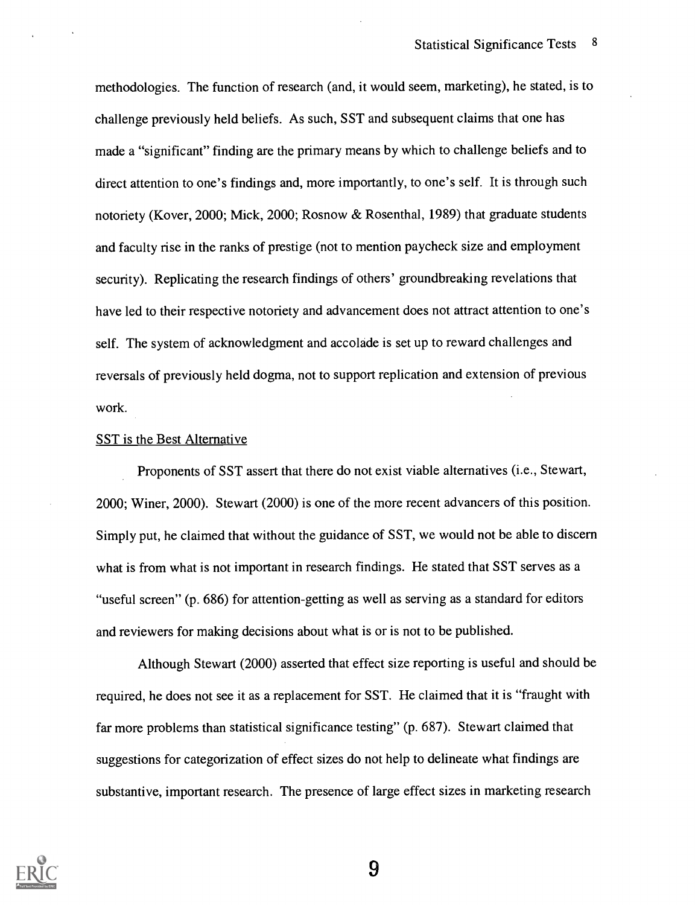methodologies. The function of research (and, it would seem, marketing), he stated, is to challenge previously held beliefs. As such, SST and subsequent claims that one has made a "significant" finding are the primary means by which to challenge beliefs and to direct attention to one's findings and, more importantly, to one's self. It is through such notoriety (Kover, 2000; Mick, 2000; Rosnow & Rosenthal, 1989) that graduate students and faculty rise in the ranks of prestige (not to mention paycheck size and employment security). Replicating the research findings of others' groundbreaking revelations that have led to their respective notoriety and advancement does not attract attention to one's self. The system of acknowledgment and accolade is set up to reward challenges and reversals of previously held dogma, not to support replication and extension of previous work.

#### SST is the Best Alternative

Proponents of SST assert that there do not exist viable alternatives (i.e., Stewart, 2000; Winer, 2000). Stewart (2000) is one of the more recent advancers of this position. Simply put, he claimed that without the guidance of SST, we would not be able to discern what is from what is not important in research findings. He stated that SST serves as a "useful screen" (p. 686) for attention-getting as well as serving as a standard for editors and reviewers for making decisions about what is or is not to be published.

Although Stewart (2000) asserted that effect size reporting is useful and should be required, he does not see it as a replacement for SST. He claimed that it is "fraught with far more problems than statistical significance testing" (p. 687). Stewart claimed that suggestions for categorization of effect sizes do not help to delineate what findings are substantive, important research. The presence of large effect sizes in marketing research

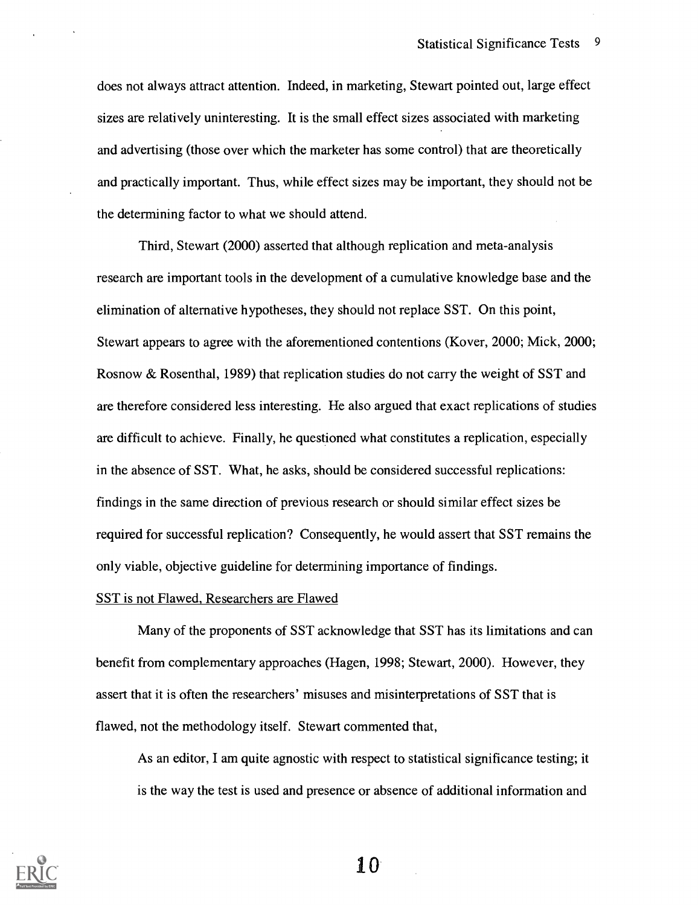does not always attract attention. Indeed, in marketing, Stewart pointed out, large effect sizes are relatively uninteresting. It is the small effect sizes associated with marketing and advertising (those over which the marketer has some control) that are theoretically and practically important. Thus, while effect sizes may be important, they should not be the determining factor to what we should attend.

Third, Stewart (2000) asserted that although replication and meta-analysis research are important tools in the development of a cumulative knowledge base and the elimination of alternative hypotheses, they should not replace SST. On this point, Stewart appears to agree with the aforementioned contentions (Kover, 2000; Mick, 2000; Rosnow & Rosenthal, 1989) that replication studies do not carry the weight of SST and are therefore considered less interesting. He also argued that exact replications of studies are difficult to achieve. Finally, he questioned what constitutes a replication, especially in the absence of SST. What, he asks, should be considered successful replications: findings in the same direction of previous research or should similar effect sizes be required for successful replication? Consequently, he would assert that SST remains the only viable, objective guideline for determining importance of findings.

#### SST is not Flawed, Researchers are Flawed

Many of the proponents of SST acknowledge that SST has its limitations and can benefit from complementary approaches (Hagen, 1998; Stewart, 2000). However, they assert that it is often the researchers' misuses and misinterpretations of SST that is flawed, not the methodology itself. Stewart commented that,

As an editor, I am quite agnostic with respect to statistical significance testing; it is the way the test is used and presence or absence of additional information and

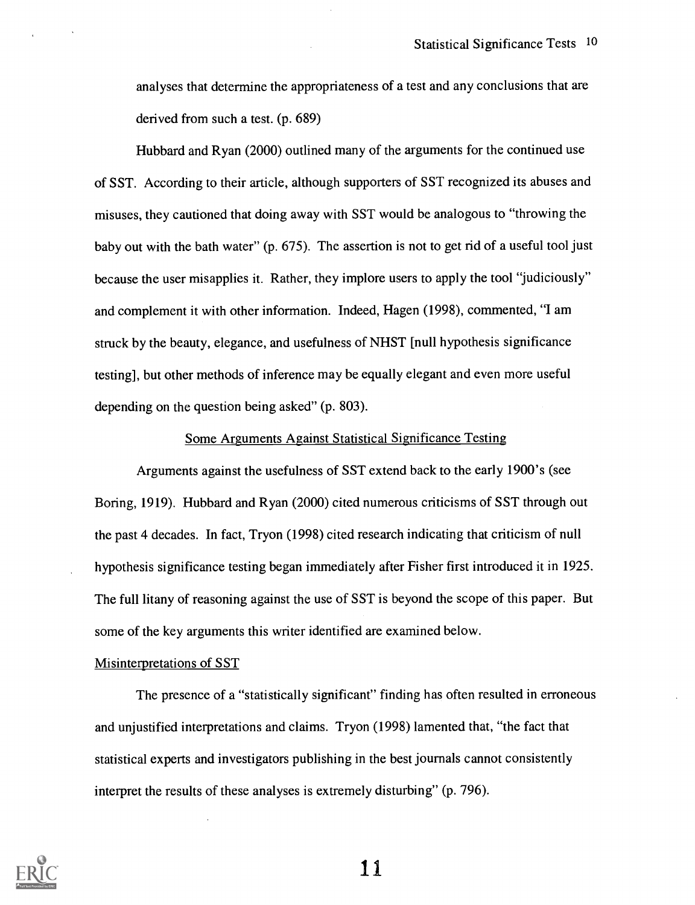analyses that determine the appropriateness of a test and any conclusions that are derived from such a test. (p. 689)

Hubbard and Ryan (2000) outlined many of the arguments for the continued use of SST. According to their article, although supporters of SST recognized its abuses and misuses, they cautioned that doing away with SST would be analogous to "throwing the baby out with the bath water" (p. 675). The assertion is not to get rid of a useful tool just because the user misapplies it. Rather, they implore users to apply the tool "judiciously" and complement it with other information. Indeed, Hagen (1998), commented, "I am struck by the beauty, elegance, and usefulness of NHST [null hypothesis significance testing], but other methods of inference may be equally elegant and even more useful depending on the question being asked" (p. 803).

#### Some Arguments Against Statistical Significance Testing

Arguments against the usefulness of SST extend back to the early 1900's (see Boring, 1919). Hubbard and Ryan (2000) cited numerous criticisms of SST through out the past 4 decades. In fact, Tryon (1998) cited research indicating that criticism of null hypothesis significance testing began immediately after Fisher first introduced it in 1925. The full litany of reasoning against the use of SST is beyond the scope of this paper. But some of the key arguments this writer identified are examined below.

#### Misinterpretations of SST

The presence of a "statistically significant" finding has often resulted in erroneous and unjustified interpretations and claims. Tryon (1998) lamented that, "the fact that statistical experts and investigators publishing in the best journals cannot consistently interpret the results of these analyses is extremely disturbing" (p. 796).

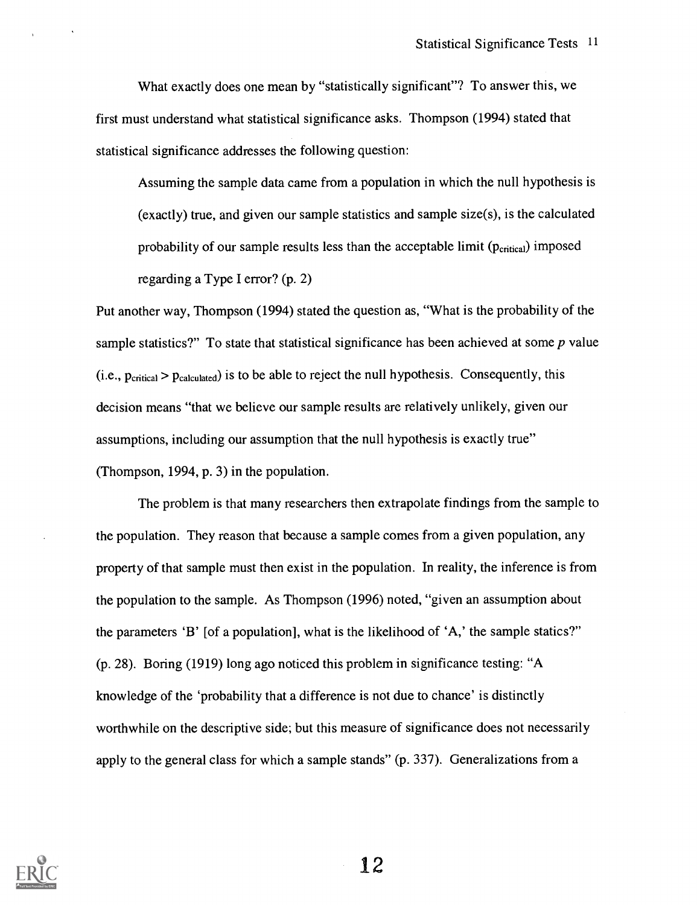What exactly does one mean by "statistically significant"? To answer this, we first must understand what statistical significance asks. Thompson (1994) stated that statistical significance addresses the following question:

Assuming the sample data came from a population in which the null hypothesis is (exactly) true, and given our sample statistics and sample size(s), is the calculated probability of our sample results less than the acceptable limit  $(p_{critical})$  imposed regarding a Type I error? (p. 2)

Put another way, Thompson (1994) stated the question as, "What is the probability of the sample statistics?" To state that statistical significance has been achieved at some  $p$  value  $(i.e., p_{critical} > p_{calculated})$  is to be able to reject the null hypothesis. Consequently, this decision means "that we believe our sample results are relatively unlikely, given our assumptions, including our assumption that the null hypothesis is exactly true" (Thompson, 1994, p. 3) in the population.

The problem is that many researchers then extrapolate findings from the sample to the population. They reason that because a sample comes from a given population, any property of that sample must then exist in the population. In reality, the inference is from the population to the sample. As Thompson (1996) noted, "given an assumption about the parameters 'B' [of a population], what is the likelihood of 'A,' the sample statics?" (p. 28). Boring (1919) long ago noticed this problem in significance testing: "A knowledge of the 'probability that a difference is not due to chance' is distinctly worthwhile on the descriptive side; but this measure of significance does not necessarily apply to the general class for which a sample stands" (p. 337). Generalizations from a

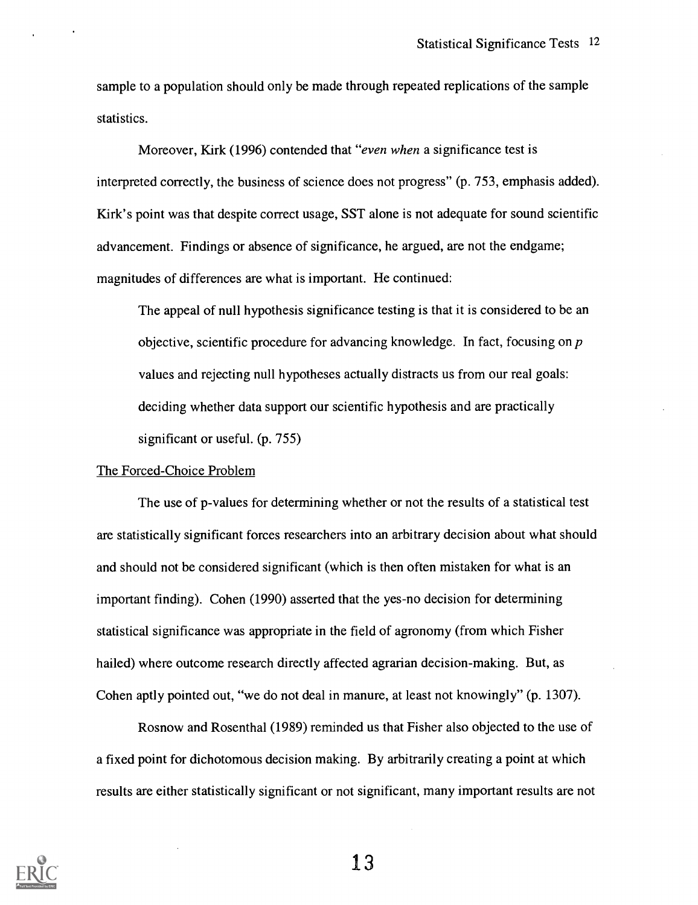sample to a population should only be made through repeated replications of the sample statistics.

Moreover, Kirk (1996) contended that "even when a significance test is interpreted correctly, the business of science does not progress" (p. 753, emphasis added). Kirk's point was that despite correct usage, SST alone is not adequate for sound scientific advancement. Findings or absence of significance, he argued, are not the endgame; magnitudes of differences are what is important. He continued:

The appeal of null hypothesis significance testing is that it is considered to be an objective, scientific procedure for advancing knowledge. In fact, focusing on p values and rejecting null hypotheses actually distracts us from our real goals: deciding whether data support our scientific hypothesis and are practically significant or useful. (p. 755)

#### The Forced-Choice Problem

The use of p-values for determining whether or not the results of a statistical test are statistically significant forces researchers into an arbitrary decision about what should and should not be considered significant (which is then often mistaken for what is an important finding). Cohen (1990) asserted that the yes-no decision for determining statistical significance was appropriate in the field of agronomy (from which Fisher hailed) where outcome research directly affected agrarian decision-making. But, as Cohen aptly pointed out, "we do not deal in manure, at least not knowingly" (p. 1307).

Rosnow and Rosenthal (1989) reminded us that Fisher also objected to the use of a fixed point for dichotomous decision making. By arbitrarily creating a point at which results are either statistically significant or not significant, many important results are not

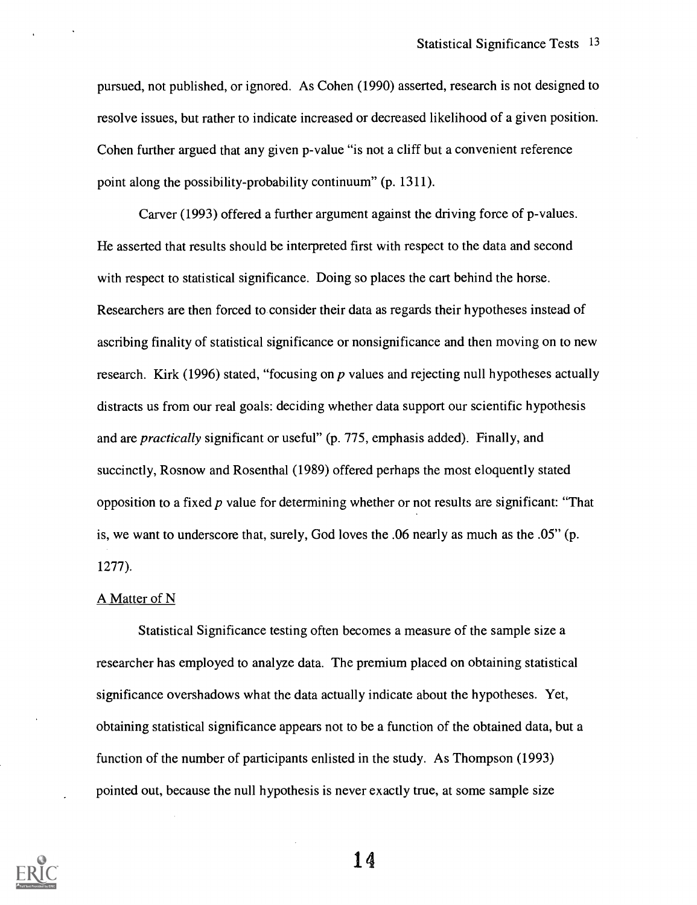pursued, not published, or ignored. As Cohen (1990) asserted, research is not designed to resolve issues, but rather to indicate increased or decreased likelihood of a given position. Cohen further argued that any given p-value "is not a cliff but a convenient reference point along the possibility-probability continuum" (p. 1311).

Carver (1993) offered a further argument against the driving force of p-values. He asserted that results should be interpreted first with respect to the data and second with respect to statistical significance. Doing so places the cart behind the horse. Researchers are then forced to consider their data as regards their hypotheses instead of ascribing finality of statistical significance or nonsignificance and then moving on to new research. Kirk (1996) stated, "focusing on  $p$  values and rejecting null hypotheses actually distracts us from our real goals: deciding whether data support our scientific hypothesis and are practically significant or useful" (p. 775, emphasis added). Finally, and succinctly, Rosnow and Rosenthal (1989) offered perhaps the most eloquently stated opposition to a fixed  $p$  value for determining whether or not results are significant: "That is, we want to underscore that, surely, God loves the .06 nearly as much as the .05" (p. 1277).

#### A Matter of N

Statistical Significance testing often becomes a measure of the sample size a researcher has employed to analyze data. The premium placed on obtaining statistical significance overshadows what the data actually indicate about the hypotheses. Yet, obtaining statistical significance appears not to be a function of the obtained data, but a function of the number of participants enlisted in the study. As Thompson (1993) pointed out, because the null hypothesis is never exactly true, at some sample size

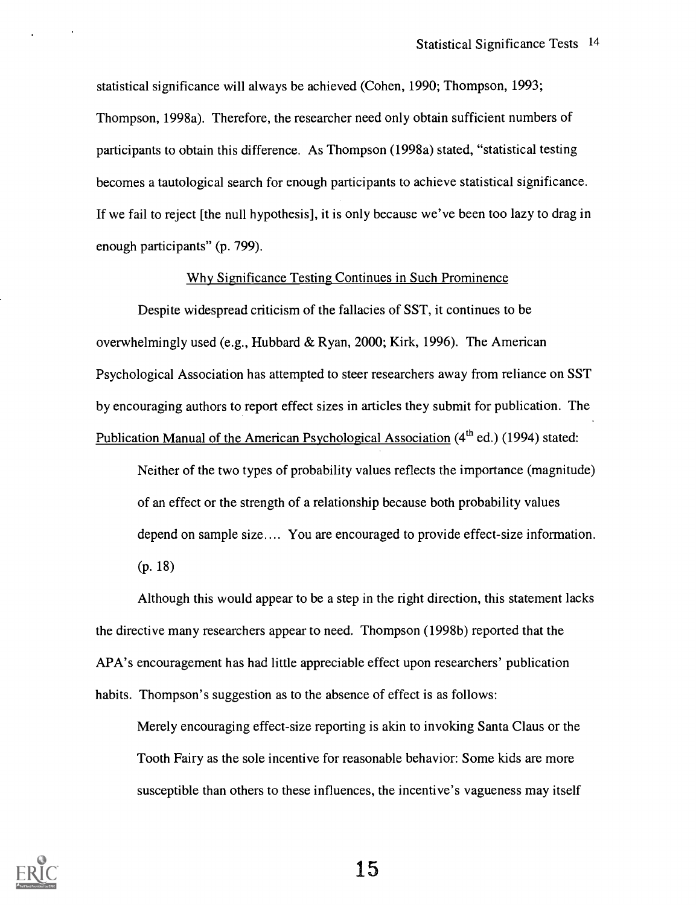statistical significance will always be achieved (Cohen, 1990; Thompson, 1993; Thompson, 1998a). Therefore, the researcher need only obtain sufficient numbers of participants to obtain this difference. As Thompson (1998a) stated, "statistical testing becomes a tautological search for enough participants to achieve statistical significance. If we fail to reject [the null hypothesis], it is only because we've been too lazy to drag in enough participants" (p. 799).

#### Why Significance Testing Continues in Such Prominence

Despite widespread criticism of the fallacies of SST, it continues to be overwhelmingly used (e.g., Hubbard & Ryan, 2000; Kirk, 1996). The American Psychological Association has attempted to steer researchers away from reliance on SST by encouraging authors to report effect sizes in articles they submit for publication. The Publication Manual of the American Psychological Association (4<sup>th</sup> ed.) (1994) stated:

Neither of the two types of probability values reflects the importance (magnitude) of an effect or the strength of a relationship because both probability values depend on sample size.... You are encouraged to provide effect-size information. (p. 18)

Although this would appear to be a step in the right direction, this statement lacks the directive many researchers appear to need. Thompson (1998b) reported that the APA's encouragement has had little appreciable effect upon researchers' publication habits. Thompson's suggestion as to the absence of effect is as follows:

Merely encouraging effect-size reporting is akin to invoking Santa Claus or the Tooth Fairy as the sole incentive for reasonable behavior: Some kids are more susceptible than others to these influences, the incentive's vagueness may itself

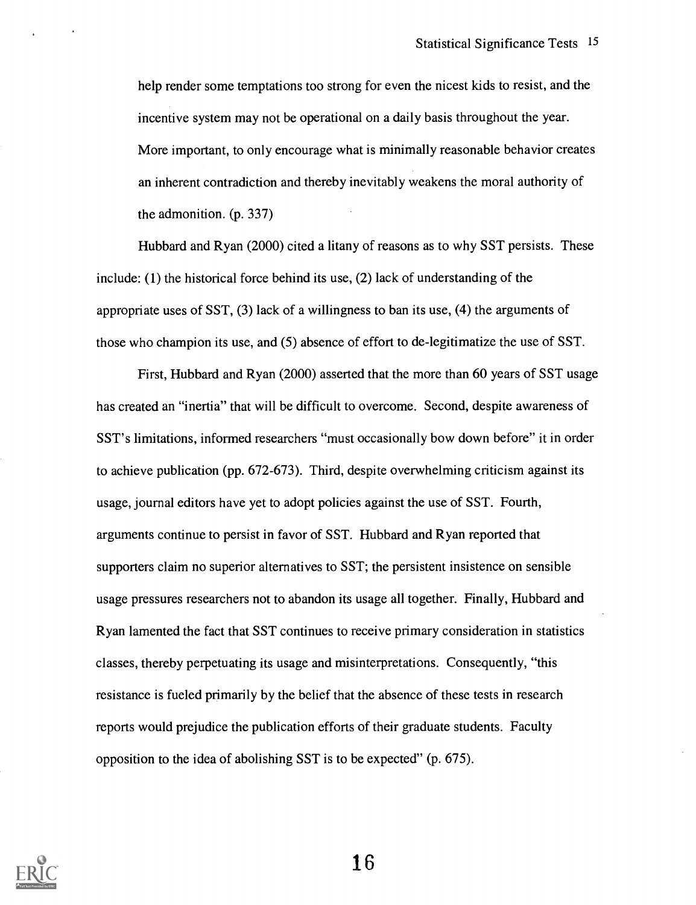help render some temptations too strong for even the nicest kids to resist, and the incentive system may not be operational on a daily basis throughout the year. More important, to only encourage what is minimally reasonable behavior creates an inherent contradiction and thereby inevitably weakens the moral authority of the admonition. (p. 337)

Hubbard and Ryan (2000) cited a litany of reasons as to why SST persists. These include: (1) the historical force behind its use, (2) lack of understanding of the appropriate uses of SST, (3) lack of a willingness to ban its use, (4) the arguments of those who champion its use, and (5) absence of effort to de-legitimatize the use of SST.

First, Hubbard and Ryan (2000) asserted that the more than 60 years of SST usage has created an "inertia" that will be difficult to overcome. Second, despite awareness of SST's limitations, informed researchers "must occasionally bow down before" it in order to achieve publication (pp. 672-673). Third, despite overwhelming criticism against its usage, journal editors have yet to adopt policies against the use of SST. Fourth, arguments continue to persist in favor of SST. Hubbard and Ryan reported that supporters claim no superior alternatives to SST; the persistent insistence on sensible usage pressures researchers not to abandon its usage all together. Finally, Hubbard and Ryan lamented the fact that SST continues to receive primary consideration in statistics classes, thereby perpetuating its usage and misinterpretations. Consequently, "this resistance is fueled primarily by the belief that the absence of these tests in research reports would prejudice the publication efforts of their graduate students. Faculty opposition to the idea of abolishing SST is to be expected" (p. 675).

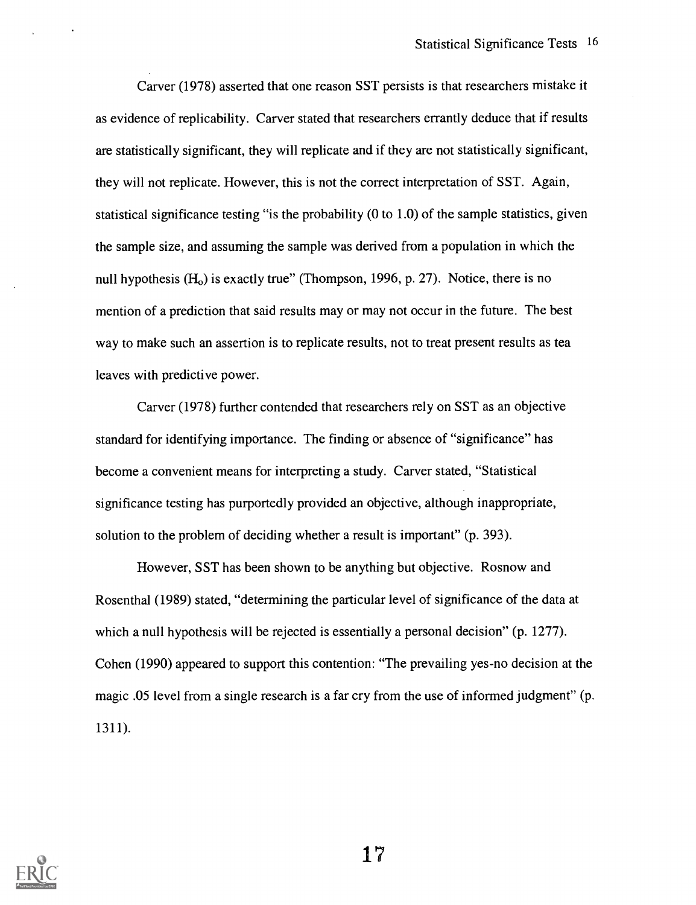Carver (1978) asserted that one reason SST persists is that researchers mistake it as evidence of replicability. Carver stated that researchers errantly deduce that if results are statistically significant, they will replicate and if they are not statistically significant, they will not replicate. However, this is not the correct interpretation of SST. Again, statistical significance testing "is the probability (0 to 1.0) of the sample statistics, given the sample size, and assuming the sample was derived from a population in which the null hypothesis  $(H<sub>o</sub>)$  is exactly true" (Thompson, 1996, p. 27). Notice, there is no mention of a prediction that said results may or may not occur in the future. The best way to make such an assertion is to replicate results, not to treat present results as tea leaves with predictive power.

Carver (1978) further contended that researchers rely on SST as an objective standard for identifying importance. The finding or absence of "significance" has become a convenient means for interpreting a study. Carver stated, "Statistical significance testing has purportedly provided an objective, although inappropriate, solution to the problem of deciding whether a result is important" (p. 393).

However, SST has been shown to be anything but objective. Rosnow and Rosenthal (1989) stated, "determining the particular level of significance of the data at which a null hypothesis will be rejected is essentially a personal decision" (p. 1277). Cohen (1990) appeared to support this contention: "The prevailing yes-no decision at the magic .05 level from a single research is a far cry from the use of informed judgment" (p. 1311).

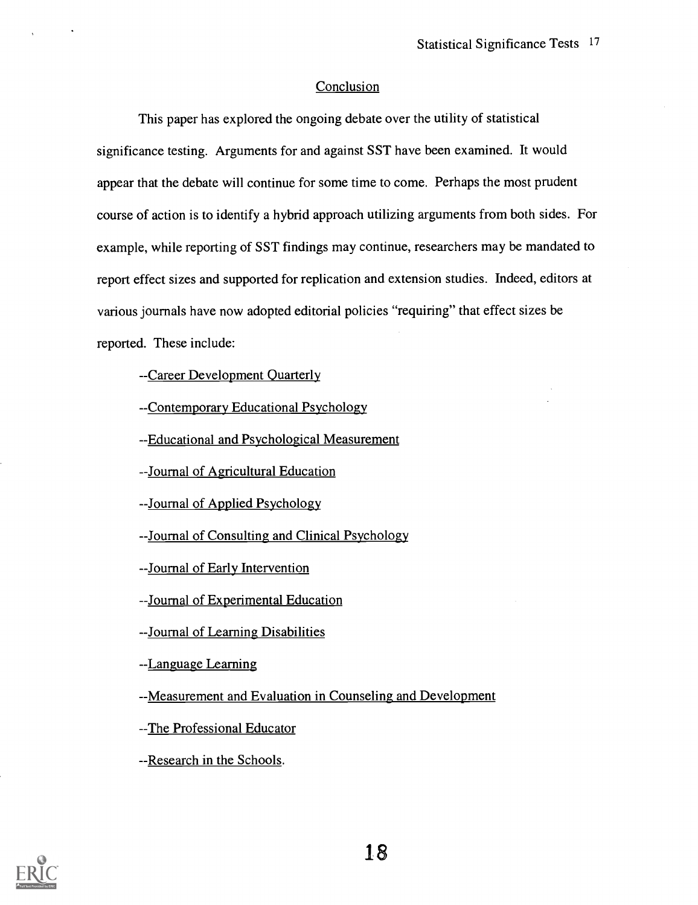#### **Conclusion**

This paper has explored the ongoing debate over the utility of statistical significance testing. Arguments for and against SST have been examined. It would appear that the debate will continue for some time to come. Perhaps the most prudent course of action is to identify a hybrid approach utilizing arguments from both sides. For example, while reporting of SST findings may continue, researchers may be mandated to report effect sizes and supported for replication and extension studies. Indeed, editors at various journals have now adopted editorial policies "requiring" that effect sizes be reported. These include:

--Career Development Quarterly

-Contemporary Educational Psychology

--Educational and Psychological Measurement

--Journal of Agricultural Education

--Journal of Applied Psychology

-Journal of Consulting and Clinical Psychology

-Journal of Early Intervention

-Journal of Experimental Education

-Journal of Learning Disabilities

-Language Learning

-Measurement and Evaluation in Counseling and Development

-The Professional Educator

--Research in the Schools.

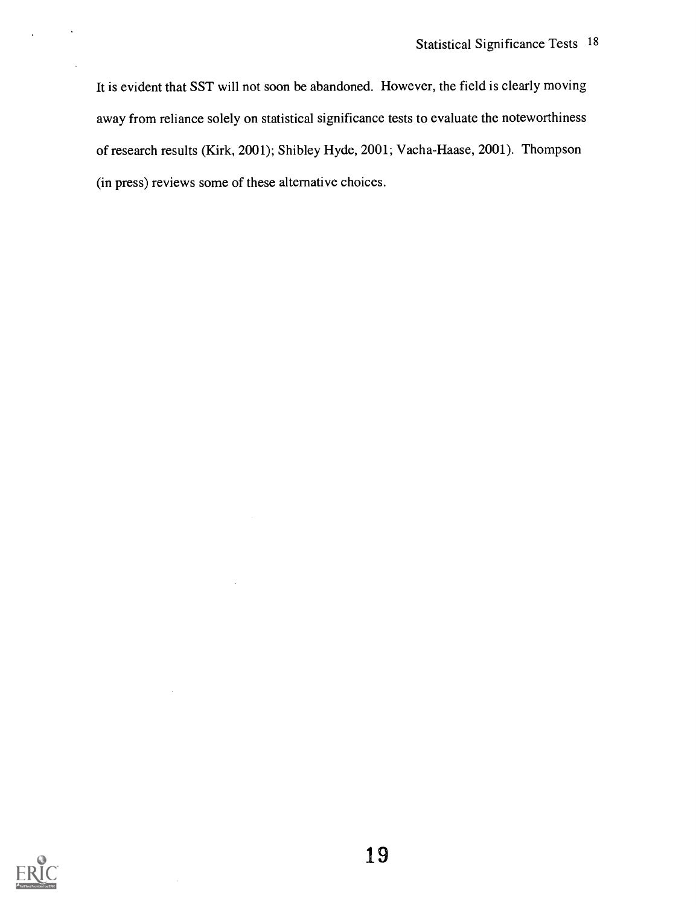It is evident that SST will not soon be abandoned. However, the field is clearly moving away from reliance solely on statistical significance tests to evaluate the noteworthiness of research results (Kirk, 2001); Shibley Hyde, 2001; Vacha-Haase, 2001). Thompson (in press) reviews some of these alternative choices.

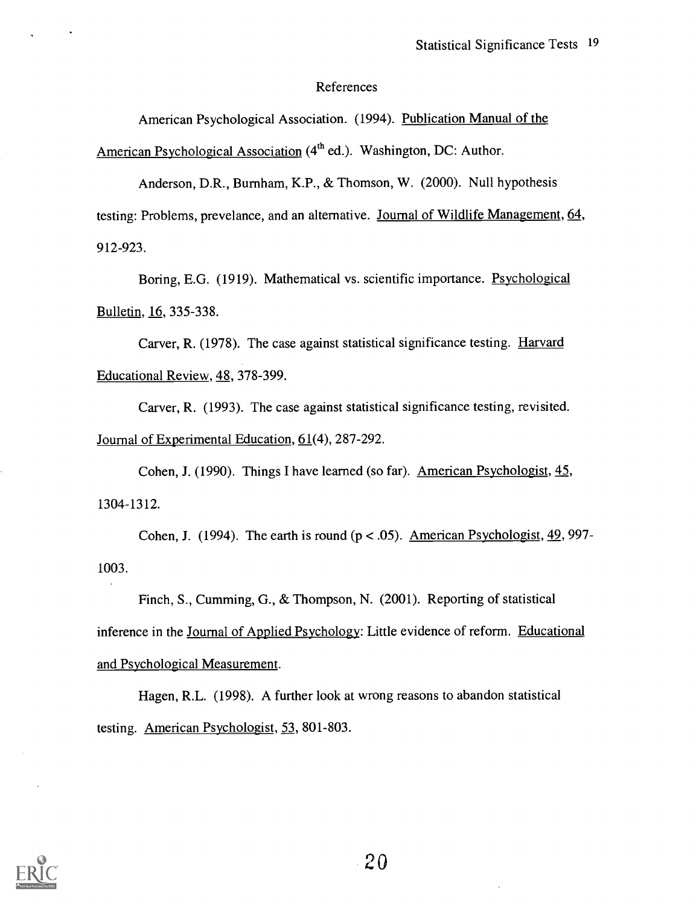#### References

American Psychological Association. (1994). Publication Manual of the American Psychological Association  $(4<sup>th</sup>$  ed.). Washington, DC: Author.

Anderson, D.R., Burnham, K.P., & Thomson, W. (2000). Null hypothesis testing: Problems, prevelance, and an alternative. Journal of Wildlife Management, 64, 912-923.

Boring, E.G. (1919). Mathematical vs. scientific importance. Psychological Bulletin, 16, 335-338.

Carver, R. (1978). The case against statistical significance testing. Harvard Educational Review, 48, 378-399.

Carver, R. (1993). The case against statistical significance testing, revisited. Journal of Experimental Education, 61(4), 287-292.

Cohen, J. (1990). Things I have learned (so far). American Psychologist, 45, 1304-1312.

Cohen, J. (1994). The earth is round ( $p < .05$ ). American Psychologist,  $\frac{49}{97}$ 1003.

Finch, S., Cumming, G., & Thompson, N. (2001). Reporting of statistical inference in the Journal of Applied Psychology: Little evidence of reform. Educational and Psychological Measurement.

Hagen, R.L. (1998). A further look at wrong reasons to abandon statistical testing. American Psychologist, 53, 801-803.

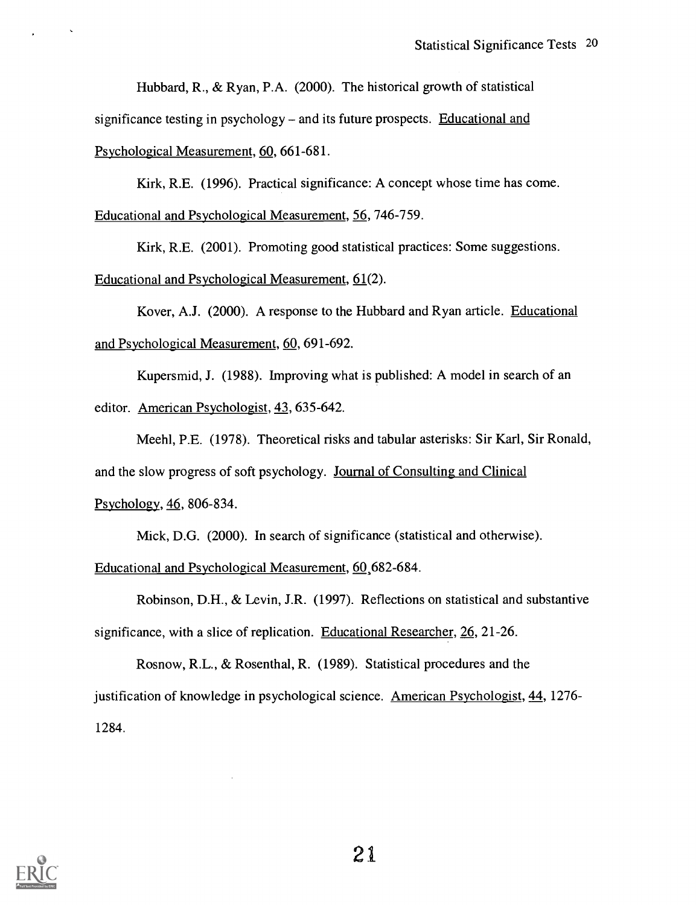Hubbard, R., & Ryan, P.A. (2000). The historical growth of statistical significance testing in psychology – and its future prospects. Educational and

Psychological Measurement, 60, 661-681.

Kirk, R.E. (1996). Practical significance: A concept whose time has come. Educational and Psychological Measurement, 56, 746-759.

Kirk, R.E. (2001). Promoting good statistical practices: Some suggestions. Educational and Psychological Measurement, 61(2).

Kover, A.J. (2000). A response to the Hubbard and Ryan article. Educational and Psychological Measurement, 60, 691-692.

Kupersmid, J. (1988). Improving what is published: A model in search of an editor. American Psychologist, 43, 635-642.

Meehl, P.E. (1978). Theoretical risks and tabular asterisks: Sir Karl, Sir Ronald, and the slow progress of soft psychology. Journal of Consulting and Clinical Psychology, 46, 806-834.

Mick, D.G. (2000). In search of significance (statistical and otherwise).

Educational and Psychological Measurement, 60,682-684.

Robinson, D.H., & Levin, J.R. (1997). Reflections on statistical and substantive significance, with a slice of replication. Educational Researcher, 26, 21-26.

Rosnow, R.L., & Rosenthal, R. (1989). Statistical procedures and the justification of knowledge in psychological science. American Psychologist, 44, 1276- 1284.

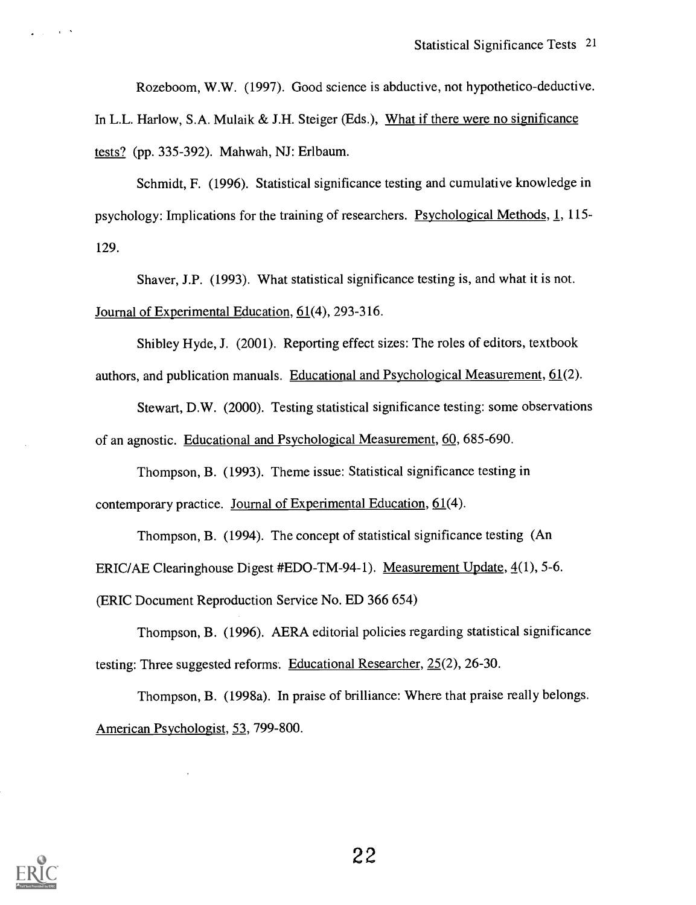Rozeboom, W.W. (1997). Good science is abductive, not hypothetico-deductive.

In L.L. Harlow, S.A. Mulaik & J.H. Steiger (Eds.), What if there were no significance tests? (pp. 335-392). Mahwah, NJ: Erlbaum.

Schmidt, F. (1996). Statistical significance testing and cumulative knowledge in psychology: Implications for the training of researchers. Psychological Methods, 1, 115- 129.

Shaver, J.P. (1993). What statistical significance testing is, and what it is not. Journal of Experimental Education, 61(4), 293-316.

Shibley Hyde, J. (2001). Reporting effect sizes: The roles of editors, textbook authors, and publication manuals. Educational and Psychological Measurement,  $61(2)$ .

Stewart, D.W. (2000). Testing statistical significance testing: some observations of an agnostic. Educational and Psychological Measurement, 60, 685-690.

Thompson, B. (1993). Theme issue: Statistical significance testing in contemporary practice. Journal of Experimental Education, 61(4).

Thompson, B. (1994). The concept of statistical significance testing (An ERIC/AE Clearinghouse Digest #EDO-TM-94-1). Measurement Update, 4(1), 5-6. (ERIC Document Reproduction Service No. ED 366 654)

Thompson, B. (1996). AERA editorial policies regarding statistical significance testing: Three suggested reforms. Educational Researcher, 25(2), 26-30.

Thompson, B. (1998a). In praise of brilliance: Where that praise really belongs. American Psychologist, 53, 799-800.



 $\sim$   $\sim$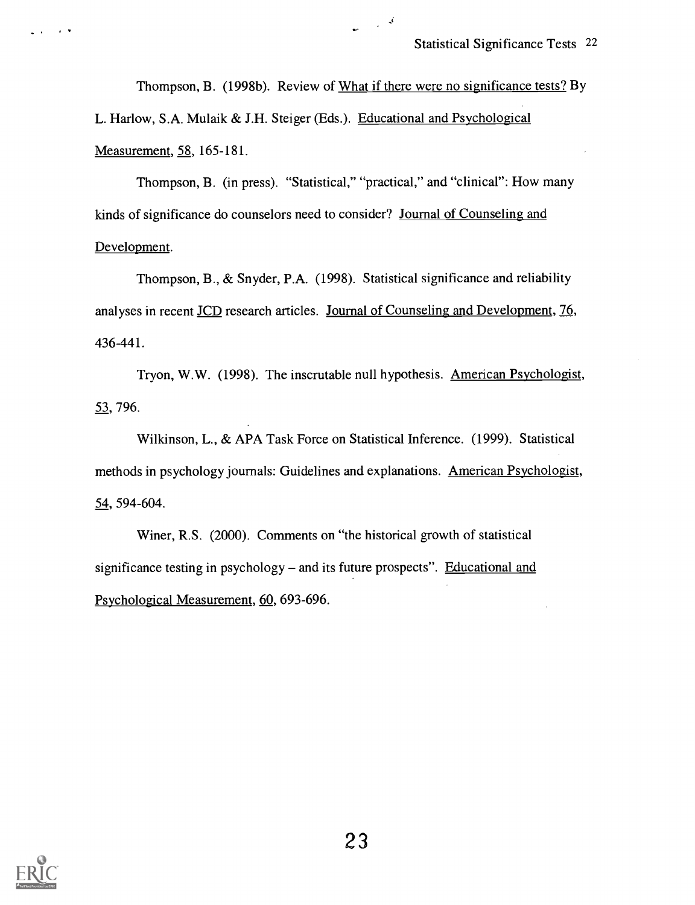Thompson, B. (1998b). Review of What if there were no significance tests? By L. Harlow, S.A. Mulaik & J.H. Steiger (Eds.). Educational and Psychological Measurement, 58, 165-181.

 $\sim$   $\sim$   $\sim$ 

Thompson, B. (in press). "Statistical," "practical," and "clinical": How many kinds of significance do counselors need to consider? Journal of Counseling and Development.

Thompson, B., & Snyder, P.A. (1998). Statistical significance and reliability analyses in recent JCD research articles. Journal of Counseling and Development, 76, 436-441.

Tryon, W.W. (1998). The inscrutable null hypothesis. American Psychologist, 53, 796.

Wilkinson, L., & APA Task Force on Statistical Inference. (1999). Statistical methods in psychology journals: Guidelines and explanations. American Psychologist, 54, 594-604.

Winer, R.S. (2000). Comments on "the historical growth of statistical significance testing in psychology  $-$  and its future prospects". Educational and Psychological Measurement, 60, 693-696.